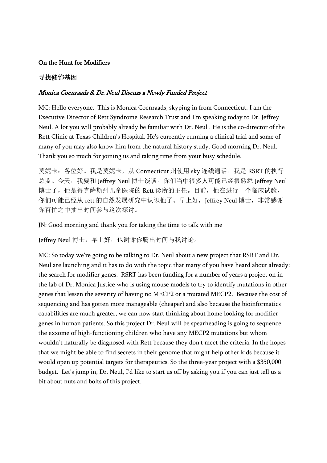## On the Hunt for Modifiers

## 寻找修饰基因

## Monica Coenraads & Dr. Neul Discuss a Newly Funded Project

MC: Hello everyone. This is Monica Coenraads, skyping in from Connecticut. I am the Executive Director of Rett Syndrome Research Trust and I'm speaking today to Dr. Jeffrey Neul. A lot you will probably already be familiar with Dr. Neul . He is the co-director of the Rett Clinic at Texas Children's Hospital. He's currently running a clinical trial and some of many of you may also know him from the natural history study. Good morning Dr. Neul. Thank you so much for joining us and taking time from your busy schedule.

莫妮卡: 各位好。我是莫妮卡, 从 Connecticut 州使用 sky 连线通话。我是 RSRT 的执行 总监。今天, 我要和 Jeffrey Neul 博士谈谈。你们当中很多人可能已经很熟悉 Jeffrey Neul 博士了,他是得克萨斯州儿童医院的 Rett 诊所的主任。目前,他在进行一个临床试验, 你们可能已经从 rett 的自然发展研究中认识他了。早上好, Jeffrey Neul 博士, 非常感谢 你百忙之中抽出时间参与这次探讨。

JN: Good morning and thank you for taking the time to talk with me

Jeffrey Neul 博士: 早上好, 也谢谢你腾出时间与我讨论。

MC: So today we're going to be talking to Dr. Neul about a new project that RSRT and Dr. Neul are launching and it has to do with the topic that many of you have heard about already: the search for modifier genes. RSRT has been funding for a number of years a project on in the lab of Dr. Monica Justice who is using mouse models to try to identify mutations in other genes that lessen the severity of having no MECP2 or a mutated MECP2. Because the cost of sequencing and has gotten more manageable (cheaper) and also because the bioinformatics capabilities are much greater, we can now start thinking about home looking for modifier genes in human patients. So this project Dr. Neul will be spearheading is going to sequence the exxome of high-functioning children who have any MECP2 mutations but whom wouldn't naturally be diagnosed with Rett because they don't meet the criteria. In the hopes that we might be able to find secrets in their genome that might help other kids because it would open up potential targets for therapeutics. So the three-year project with a \$350,000 budget. Let's jump in, Dr. Neul, I'd like to start us off by asking you if you can just tell us a bit about nuts and bolts of this project.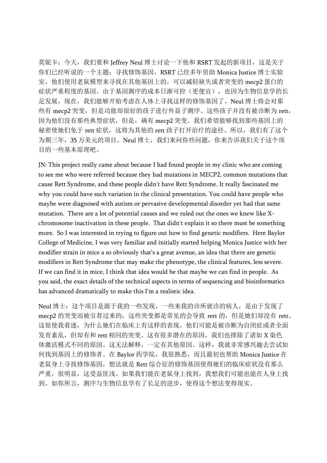莫妮卡: 今天, 我们要和 Jeffrey Neul 博士讨论一下他和 RSRT 发起的新项目, 这是关于 你们已经听说的一个主题:寻找修饰基因。RSRT 已经多年资助 Monica Justice 博士实验 室,他们使用老鼠模型来寻找在其他基因上的,可以减轻缺失或者突变的 mecp2 蛋白的 症状严重程度的基因。由于基因测序的成本日渐可控(更便宜),也因为生物信息学的长 足发展,现在,我们能够开始考虑在人体上寻找这样的修饰基因了。Neul 博士将会对那 些有 mecp2 突变, 但是功能却很好的孩子进行外显子测序。这些孩子并没有被诊断为 rett, 因为他们没有那些典型症状,但是,确有 mecp2 突变。我们希望能够找到那些基因上的 秘密使她们免于 rett 症状, 这将为其他的 rett 孩子打开治疗的途径。所以, 我们有了这个 为期三年,35 万美元的项目。Neul 博士,我们来问你些问题,你来告诉我们关于这个项 目的一些基本原理吧。

JN: This project really came about because I had found people in my clinic who are coming to see me who were referred because they had mutations in MECP2, common mutations that cause Rett Syndrome, and these people didn't have Rett Syndrome. It really fascinated me why you could have such variation in the clinical presentation. You could have people who maybe were diagnosed with autism or pervasive developmental disorder yet had that same mutation. There are a lot of potential causes and we ruled out the ones we knew like Xchromosome inactivation in these people. That didn't explain it so there must be something more. So I was interested in trying to figure out how to find genetic modifiers. Here Baylor College of Medicine, I was very familiar and initially started helping Monica Justice with her modifier strain in mice a so obviously that's a great avenue, an idea that there are genetic modifiers in Rett Syndrome that may make the phenotype, the clinical features, less severe. If we can find it in mice, I think that idea would be that maybe we can find in people. As you said, the exact details of the technical aspects in terms of sequencing and bioinformatics has advanced dramatically to make this I'm a realistic idea.

Neul 博士:这个项目是源于我的一些发现,一些来我的诊所就诊的病人,是由于发现了 mecp2 的突变而被引荐过来的,这些突变都是常见的会导致 rett 的,但是她们却没有 rett。 这很使我着迷,为什么她们在临床上有这样的表现。他们可能是被诊断为自闭症或者全面 发育紊乱,但却有和 rett 相同的突变。这有很多潜在的原因,我们也排除了诸如 X 染色 体激活模式不同的原因。这无法解释,一定有其他原因。这样,我就非常感兴趣去尝试如 何找到基因上的修饰者。在 Baylor 药学院, 我很熟悉, 而且最初也帮助 Monica Justice 在 老鼠身上寻找修饰基因,想法就是 Rett 综合征的修饰基因使得她们的临床症状没有那么 严重,很明显,这受益匪浅。如果我们能在老鼠身上找到,我想我们可能也能在人身上找 到。如你所言,测序与生物信息学有了长足的进步,使得这个想法变得现实。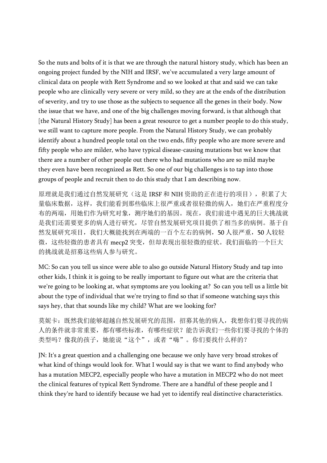So the nuts and bolts of it is that we are through the natural history study, which has been an ongoing project funded by the NIH and IRSF, we've accumulated a very large amount of clinical data on people with Rett Syndrome and so we looked at that and said we can take people who are clinically very severe or very mild, so they are at the ends of the distribution of severity, and try to use those as the subjects to sequence all the genes in their body. Now the issue that we have, and one of the big challenges moving forward, is that although that [the Natural History Study] has been a great resource to get a number people to do this study, we still want to capture more people. From the Natural History Study, we can probably identify about a hundred people total on the two ends, fifty people who are more severe and fifty people who are milder, who have typical disease-causing mutations but we know that there are a number of other people out there who had mutations who are so mild maybe they even have been recognized as Rett. So one of our big challenges is to tap into those groups of people and recruit then to do this study that I am describing now.

原理就是我们通过自然发展研究(这是 IRSF 和 NIH 资助的正在进行的项目), 积累了大 量临床数据,这样,我们能看到那些临床上很严重或者很轻微的病人,她们在严重程度分 布的两端,用她们作为研究对象,测序她们的基因。现在,我们前进中遇见的巨大挑战就 是我们还需要更多的病人进行研究,尽管自然发展研究项目提供了相当多的病例。基于自 然发展研究项目,我们大概能找到在两端的一百个左右的病例,50 人很严重,50 人较轻 微,这些轻微的患者具有 mecp2 突变,但却表现出很轻微的症状。我们面临的一个巨大 的挑战就是招募这些病人参与研究。

MC: So can you tell us since were able to also go outside Natural History Study and tap into other kids, I think it is going to be really important to figure out what are the criteria that we're going to be looking at, what symptoms are you looking at? So can you tell us a little bit about the type of individual that we're trying to find so that if someone watching says this says hey, that that sounds like my child? What are we looking for?

莫妮卡:既然我们能够超越自然发展研究的范围,招募其他的病人,我想你们要寻找的病 人的条件就非常重要,都有哪些标准,有哪些症状?能告诉我们一些你们要寻找的个体的 类型吗?像我的孩子,她能说"这个",或者"嗨"。你们要找什么样的?

JN: It's a great question and a challenging one because we only have very broad strokes of what kind of things would look for. What I would say is that we want to find anybody who has a mutation MECP2, especially people who have a mutation in MECP2 who do not meet the clinical features of typical Rett Syndrome. There are a handful of these people and I think they're hard to identify because we had yet to identify real distinctive characteristics.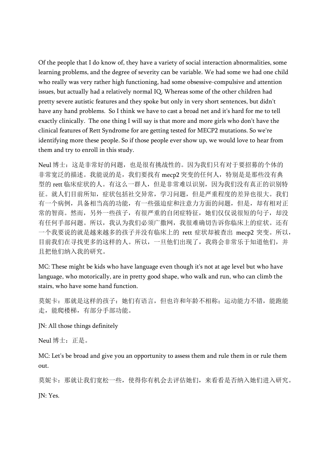Of the people that I do know of, they have a variety of social interaction abnormalities, some learning problems, and the degree of severity can be variable. We had some we had one child who really was very rather high functioning, had some obsessive-compulsive and attention issues, but actually had a relatively normal IQ. Whereas some of the other children had pretty severe autistic features and they spoke but only in very short sentences, but didn't have any hand problems. So I think we have to cast a broad net and it's hard for me to tell exactly clinically. The one thing I will say is that more and more girls who don't have the clinical features of Rett Syndrome for are getting tested for MECP2 mutations. So we're identifying more these people. So if those people ever show up, we would love to hear from them and try to enroll in this study.

Neul 博士:这是非常好的问题,也是很有挑战性的。因为我们只有对于要招募的个体的 非常宽泛的描述。我能说的是,我们要找有 mecp2 突变的任何人,特别是是那些没有典 型的 rett 临床症状的人。有这么一群人,但是非常难以识别,因为我们没有真正的识别特 征。就人们目前所知,症状包括社交异常,学习问题,但是严重程度的差异也很大。我们 有一个病例,具备相当高的功能,有一些强迫症和注意力方面的问题,但是,却有相对正 常的智商。然而,另外一些孩子,有很严重的自闭症特征,她们仅仅说很短的句子,却没 有任何手部问题。所以,我认为我们必须广撒网,我很难确切告诉你临床上的症状。还有 一个我要说的就是越来越多的孩子并没有临床上的 rett 症状却被查出 mecp2 突变。所以, 目前我们在寻找更多的这样的人。所以,一旦他们出现了,我将会非常乐于知道他们,并 且把他们纳入我的研究。

MC: These might be kids who have language even though it's not at age level but who have language, who motorically, are in pretty good shape, who walk and run, who can climb the stairs, who have some hand function.

莫妮卡: 那就是这样的孩子: 她们有语言, 但也许和年龄不相称; 运动能力不错, 能跑能 走,能爬楼梯,有部分手部功能。

JN: All those things definitely

Neul 博士:正是。

MC: Let's be broad and give you an opportunity to assess them and rule them in or rule them out.

莫妮卡:那就让我们宽松一些,使得你有机会去评估她们,来看看是否纳入她们进入研究。 JN: Yes.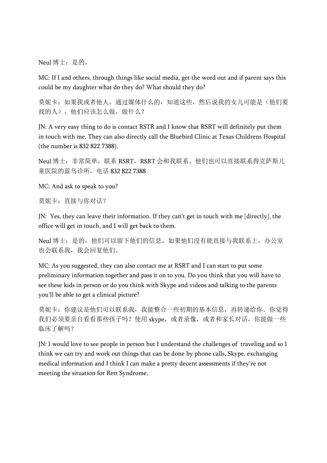Neul 博士:是的。

MC: If I and others, through things like social media, get the word out and if parent says this could be my daughter what do they do? What should they do?

莫妮卡:如果我或者他人,通过媒体什么的,知道这些,然后说我的女儿可能是(他们要 找的人),他们应该怎么做,做什么?

JN: A very easy thing to do is contact RSTR and I know that RSRT will definitely put them in touch with me. They can also directly call the Bluebird Clinic at Texas Childrens Hospital (the number is 832 822 7388).

Neul 博士: 非常简单, 联系 RSRT, RSRT 会和我联系。他们也可以直接联系得克萨斯儿 童医院的蓝鸟诊所,电话 832 822 7388

MC: And ask to speak to you?

莫妮卡:直接与你对话?

JN: Yes, they can leave their information. If they can't get in touch with me [directly], the office will get in touch, and I will get back to them.

Neul 博士: 是的, 他们可以留下他们的信息, 如果他们没有能直接与我联系上, 办公室 也会联系我,我会回复他们。

MC: As you suggested, they can also contact me at RSRT and I can start to put some preliminary information together and pass it on to you. Do you think that you will have to see these kids in person or do you think with Skype and videos and talking to the parents you'll be able to get a clinical picture?

莫妮卡:你建议是他们可以联系我,我能整合一些初期的基本信息,再转递给你。你觉得 我们必须要亲自看看那些孩子吗?使用 skype, 或者录像, 或者和家长对话, 你能做一些 临床了解吗?

JN: I would love to see people in person but I understand the challenges of traveling and so I think we can try and work out things that can be done by phone calls, Skype, exchanging medical information and I think I can make a pretty decent assessments if they're not meeting the situation for Rett Syndrome.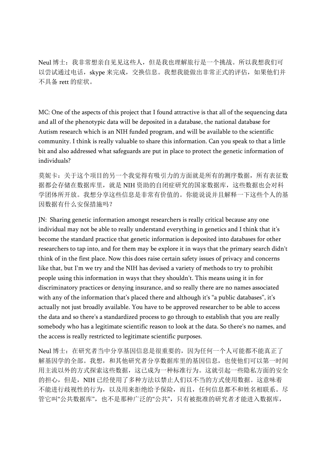Neul 博士:我非常想亲自见见这些人,但是我也理解旅行是一个挑战。所以我想我们可 以尝试通过电话, skype 来完成, 交换信息。我想我能做出非常正式的评估, 如果他们并 不具备 rett 的症状。

MC: One of the aspects of this project that I found attractive is that all of the sequencing data and all of the phenotypic data will be deposited in a database, the national database for Autism research which is an NIH funded program, and will be available to the scientific community. I think is really valuable to share this information. Can you speak to that a little bit and also addressed what safeguards are put in place to protect the genetic information of individuals?

莫妮卡:关于这个项目的另一个我觉得有吸引力的方面就是所有的测序数据,所有表征数 据都会存储在数据库里,就是 NIH 资助的自闭症研究的国家数据库,这些数据也会对科 学团体所开放。我想分享这些信息是非常有价值的。你能说说并且解释一下这些个人的基 因数据有什么安保措施吗?

JN: Sharing genetic information amongst researchers is really critical because any one individual may not be able to really understand everything in genetics and I think that it's become the standard practice that genetic information is deposited into databases for other researchers to tap into, and for them may be explore it in ways that the primary search didn't think of in the first place. Now this does raise certain safety issues of privacy and concerns like that, but I'm we try and the NIH has devised a variety of methods to try to prohibit people using this information in ways that they shouldn't. This means using it in for discriminatory practices or denying insurance, and so really there are no names associated with any of the information that's placed there and although it's "a public databases", it's actually not just broadly available. You have to be approved researcher to be able to access the data and so there's a standardized process to go through to establish that you are really somebody who has a legitimate scientific reason to look at the data. So there's no names, and the access is really restricted to legitimate scientific purposes.

Neul 博士:在研究者当中分享基因信息是很重要的,因为任何一个人可能都不能真正了 解基因学的全部。我想,和其他研究者分享数据库里的基因信息,也使他们可以第一时间 用主流以外的方式探索这些数据,这已成为一种标准行为。这就引起一些隐私方面的安全 的担心,但是,NIH 已经使用了多种方法以禁止人们以不当的方式使用数据。这意味着 不能进行歧视性的行为,以及用来拒绝给予保险,而且,任何信息都不和姓名相联系。尽 管它叫"公共数据库",也不是那种广泛的"公共",只有被批准的研究者才能进入数据库,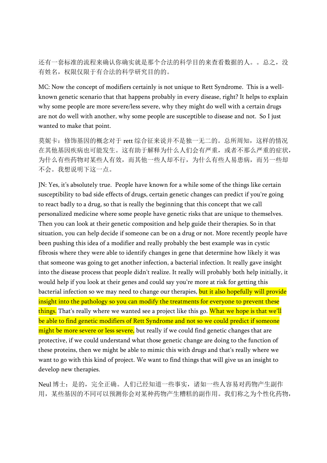还有一套标准的流程来确认你确实就是那个合法的科学目的来查看数据的人。。总之,没 有姓名,权限仅限于有合法的科学研究目的的。

MC: Now the concept of modifiers certainly is not unique to Rett Syndrome. This is a wellknown genetic scenario that that happens probably in every disease, right? It helps to explain why some people are more severe/less severe, why they might do well with a certain drugs are not do well with another, why some people are susceptible to disease and not. So I just wanted to make that point.

莫妮卡: 修饰基因的概念对于 rett 综合征来说并不是独一无二的。总所周知, 这样的情况 在其他基因疾病也可能发生。这有助于解释为什么人们会有严重,或者不那么严重的症状, 为什么有些药物对某些人有效,而其他一些人却不行,为什么有些人易患病,而另一些却 不会。我想说明下这一点。

JN: Yes, it's absolutely true. People have known for a while some of the things like certain susceptibility to bad side effects of drugs, certain genetic changes can predict if you're going to react badly to a drug, so that is really the beginning that this concept that we call personalized medicine where some people have genetic risks that are unique to themselves. Then you can look at their genetic composition and help guide their therapies. So in that situation, you can help decide if someone can be on a drug or not. More recently people have been pushing this idea of a modifier and really probably the best example was in cystic fibrosis where they were able to identify changes in gene that determine how likely it was that someone was going to get another infection, a bacterial infection. It really gave insight into the disease process that people didn't realize. It really will probably both help initially, it would help if you look at their genes and could say you're more at risk for getting this bacterial infection so we may need to change our therapies, but it also hopefully will provide insight into the pathology so you can modify the treatments for everyone to prevent these things. That's really where we wanted see a project like this go. What we hope is that we'll be able to find genetic modifiers of Rett Syndrome and not so we could predict if someone might be more severe or less severe, but really if we could find genetic changes that are protective, if we could understand what those genetic change are doing to the function of these proteins, then we might be able to mimic this with drugs and that's really where we want to go with this kind of project. We want to find things that will give us an insight to develop new therapies.

Neul 博士: 是的, 完全正确。人们已经知道一些事实, 诸如一些人容易对药物产生副作 用,某些基因的不同可以预测你会对某种药物产生糟糕的副作用。我们称之为个性化药物,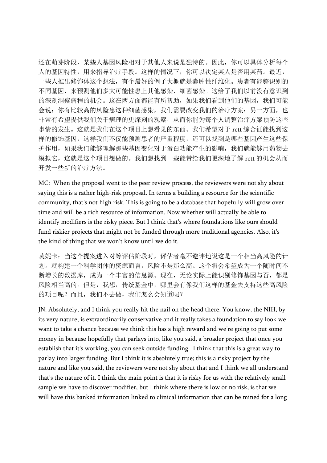还在萌芽阶段,某些人基因风险相对于其他人来说是独特的。因此,你可以具体分析每个 人的基因特性,用来指导治疗手段。这样的情况下,你可以决定某人是否用某药。最近, 一些人推出修饰体这个想法,有个最好的例子大概就是囊肿性纤维化。患者有能够识别的 不同基因,来预测他们多大可能性患上其他感染,细菌感染。这给了我们以前没有意识到 的深刻洞察病程的机会。这在两方面都能有所帮助,如果我们看到他们的基因,我们可能 会说: 你有比较高的风险患这种细菌感染, 我们需要改变我们的治疗方案; 另一方面, 也 非常有希望提供我们关于病理的更深刻的观察,从而你能为每个人调整治疗方案预防这些 事情的发生。这就是我们在这个项目上想看见的东西。我们希望对于 rett 综合征能找到这 样的修饰基因,这样我们不仅能预测患者的严重程度,还可以找到是哪些基因产生这些保 护作用,如果我们能够理解那些基因变化对于蛋白功能产生的影响,我们就能够用药物去 模拟它,这就是这个项目想做的。我们想找到一些能带给我们更深地了解 rett 的机会从而 开发一些新的治疗方法。

MC: When the proposal went to the peer review process, the reviewers were not shy about saying this is a rather high-risk proposal. In terms a building a resource for the scientific community, that's not high risk. This is going to be a database that hopefully will grow over time and will be a rich resource of information. Now whether will actually be able to identify modifiers is the risky piece. But I think that's where foundations like ours should fund riskier projects that might not be funded through more traditional agencies. Also, it's the kind of thing that we won't know until we do it.

莫妮卡:当这个提案进入对等评估阶段时,评估者毫不避讳地说这是一个相当高风险的计 划。就构建一个科学团体的资源而言,风险不是那么高。这个将会希望成为一个随时间不 断增长的数据库,成为一个丰富的信息源。现在,无论实际上能识别修饰基因与否,都是 风险相当高的。但是,我想,传统基金中,哪里会有像我们这样的基金去支持这些高风险 的项目呢?而且,我们不去做,我们怎么会知道呢?

JN: Absolutely, and I think you really hit the nail on the head there. You know, the NIH, by its very nature, is extraordinarily conservative and it really takes a foundation to say look we want to take a chance because we think this has a high reward and we're going to put some money in because hopefully that parlays into, like you said, a broader project that once you establish that it's working, you can seek outside funding. I think that this is a great way to parlay into larger funding. But I think it is absolutely true; this is a risky project by the nature and like you said, the reviewers were not shy about that and I think we all understand that's the nature of it. I think the main point is that it is risky for us with the relatively small sample we have to discover modifier, but I think where there is low or no risk, is that we will have this banked information linked to clinical information that can be mined for a long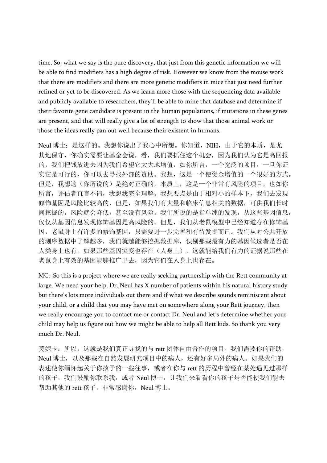time. So, what we say is the pure discovery, that just from this genetic information we will be able to find modifiers has a high degree of risk. However we know from the mouse work that there are modifiers and there are more genetic modifiers in mice that just need further refined or yet to be discovered. As we learn more those with the sequencing data available and publicly available to researchers, they'll be able to mine that database and determine if their favorite gene candidate is present in the human populations, if mutations in these genes are present, and that will really give a lot of strength to show that those animal work or those the ideas really pan out well because their existent in humans.

Neul 博士: 是这样的。我想你说出了我心中所想。你知道, NIH, 由于它的本质, 是尤 其地保守,你确实需要让基金会说,看,我们要抓住这个机会,因为我们认为它是高回报 的,我们把钱放进去因为我们希望它大大地增值,如你所言,一个宽泛的项目,一旦你证 实它是可行的,你可以去寻找外部的资助。我想,这是一个使资金增值的一个很好的方式。 但是,我想这(你所说的)是绝对正确的,本质上,这是一个非常有风险的项目,也如你 所言,评估者直言不讳,我想我完全理解。我想要点是由于相对小的样本下,我们去发现 修饰基因是风险比较高的,但是,如果我们有大量和临床信息相关的数据,可供我们长时 间挖掘的,风险就会降低,甚至没有风险。我们所说的是指单纯的发现,从这些基因信息, 仅仅从基因信息发现修饰基因是高风险的。但是,我们从老鼠模型中已经知道存在修饰基 因,老鼠身上有许多的修饰基因,只需要进一步完善和有待发掘而已。我们从对公共开放 的测序数据中了解越多,我们就越能够挖掘数据库,识别那些最有力的基因候选者是否在 人类身上也有。如果那些基因突变也存在(人身上),这就能给我们有力的证据说那些在 老鼠身上有效的基因能够推广出去,因为它们在人身上也存在。

MC: So this is a project where we are really seeking partnership with the Rett community at large. We need your help. Dr. Neul has X number of patients within his natural history study but there's lots more individuals out there and if what we describe sounds reminiscent about your child, or a child that you may have met on somewhere along your Rett journey, then we really encourage you to contact me or contact Dr. Neul and let's determine whether your child may help us figure out how we might be able to help all Rett kids. So thank you very much Dr. Neul.

莫妮卡:所以,这就是我们真正寻找的与 rett 团体自由合作的项目。我们需要你的帮助, Neul 博士, 以及那些在自然发展研究项目中的病人, 还有好多局外的病人。如果我们的 表述使你缅怀起关于你孩子的一些往事,或者在你与 rett 的历程中曾经在某处遇见过那样 的孩子,我们鼓励你联系我,或者 Neul 博士, 让我们来看看你的孩子是否能使我们能去 帮助其他的 rett 孩子。非常感谢你, Neul 博士。